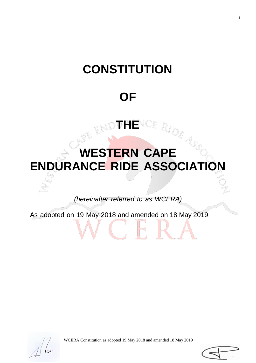# **CONSTITUTION**

# **OF**

**THE**

# **WESTERN CAPE ENDURANCE RIDE ASSOCIATION**

*(hereinafter referred to as WCERA)*

As adopted on 19 May 2018 and amended on 18 May 2019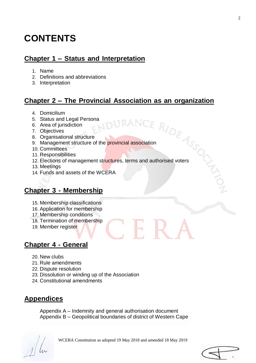# **CONTENTS**

# **Chapter 1 – Status and Interpretation**

- 1. Name
- 2. Definitions and abbreviations
- 3. Interpretation

# **Chapter 2 – The Provincial Association as an organization**

- 4. Domicilium
- 5. Status and Legal Persona
- 6. Area of jurisdiction
- 7. Objectives
- 8. Organisational structure
- 9. Domicinal Legal Persona<br>
5. Status and Legal Persona<br>
6. Area of jurisdiction<br>
7. Objectives<br>
8. Organisational structure<br>
9. Management structure of the provincial association
- 10. Committees
- 11. Responsibilities
- 12. Elections of management structures, terms and authorised voters
- 13. Meetings
- 14. Funds and assets of the WCERA

# **Chapter 3 - Membership**

- 15. Membership classifications
- 16. Application for membership
- 17. Membership conditions
- 18. Termination of membership
- 19. Member register

# **Chapter 4 - General**

- 20. New clubs
- 21. Rule amendments
- 22. Dispute resolution
- 23. Dissolution or winding up of the Association
- 24. Constitutional amendments

# **Appendices**

Appendix A – Indemnity and general authorisation document Appendix B – Geopolitical boundaries of district of Western Cape

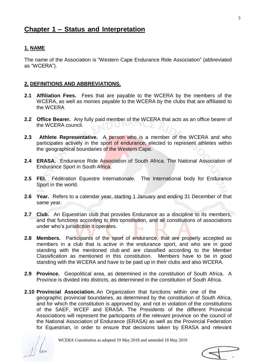#### **1. NAME**

The name of the Association is "Western Cape Endurance Ride Association" (abbreviated as "WCERA").

#### **2. DEFINITIONS AND ABBREVIATIONS.**

- **2.1 Affiliation Fees.** Fees that are payable to the WCERA by the members of the WCERA, as well as monies payable to the WCERA by the clubs that are affiliated to the WCERA
- **2.2 Office Bearer.** Any fully paid member of the WCERA that acts as an office bearer of the WCERA council.
- **2.3 Athlete Representative.** A person who is a member of the WCERA and who participates actively in the sport of endurance, elected to represent athletes within the geographical boundaries of the Western Cape.
- **2.4 ERASA.** Endurance Ride Association of South Africa. The National Association of Endurance Sport in South Africa.
- **2.5 FEI.** Fédération Equestre Internationale. The International body for Endurance Sport in the world.
- **2.6 Year.** Refers to a calendar year, starting 1 January and ending 31 December of that same year.
- **2.7 Club.** An Equestrian club that provides Endurance as a discipline to its members, and that functions according to this constitution, and all constitutions of associations under who's jurisdiction it operates.
- **2.8 Members.** Participants of the sport of endurance, that are properly accepted as members in a club that is active in the endurance sport, and who are in good standing with the mentioned club and are classified according to the Member Classification as mentioned in this constitution. Members have to be in good standing with the WCERA and have to be paid up in their clubs and also WCERA.
- **2.9 Province.** Geopolitical area, as determined in the constitution of South Africa. A Province is divided into districts, as determined in the constitution of South Africa.
- **2.10 Provincial Association.** An Organization that functions within one of the geographic provincial boundaries, as determined by the constitution of South Africa, and for which the constitution is approved by, and not in violation of the constitutions of the SAEF, WCEF and ERASA. The Presidents of the different Provincial Associations will represent the participants of the relevant province on the council of the National Association of Endurance (ERASA) as well as the Provincial Federation for Equestrian, in order to ensure that decisions taken by ERASA and relevant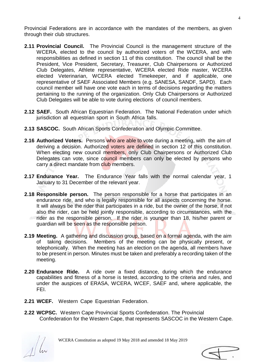Provincial Federations are in accordance with the mandates of the members, as given through their club structures.

- **2.11 Provincial Council.** The Provincial Council is the management structure of the WCERA, elected to the council by authorized voters of the WCERA, and with responsibilities as defined in section 11 of this constitution. The council shall be the President, Vice President, Secretary, Treasurer, Club Chairpersons or Authorized Club Delegates, Athlete representative, WCERA elected Ride master, WCERA elected Veterinarian, WCERA elected Timekeeper, and if applicable, one representative of SAEF Associated Members (e.g. SANESA, SANDF, SAPD). Each council member will have one vote each in terms of decisions regarding the matters pertaining to the running of the organization. Only Club Chairpersons or Authorized Club Delegates will be able to vote during elections of council members.
- **2.12 SAEF.** South African Equestrian Federation. The National Federation under which jurisdiction all equestrian sport in South Africa falls.
- **2.13 SASCOC.** South African Sports Confederation and Olympic Committee.
- **2.16 Authorized Voters.** Persons who are able to vote during a meeting, with the aim of deriving a decision. Authorized voters are defined in section 12 of this constitution. When electing new council members, only Club Chairpersons or Authorized Club Delegates can vote, since council members can only be elected by persons who carry a direct mandate from club members.
- **2.17 Endurance Year.** The Endurance Year falls with the normal calendar year, 1 January to 31 December of the relevant year.
- **2.18 Responsible person.** The person responsible for a horse that participates in an endurance ride, and who is legally responsible for all aspects concerning the horse. It will always be the rider that participates in a ride, but the owner of the horse, if not also the rider, can be held jointly responsible, according to circumstances, with the rider as the responsible person. If the rider is younger than 18, his/her parent or guardian will be seen as the responsible person.
- **2.19 Meeting.** A gathering and discussion group, based on a formal agenda, with the aim of taking decisions. Members of the meeting can be physically present, or telephonically. When the meeting has an election on the agenda, all members have to be present in person. Minutes must be taken and preferably a recording taken of the meeting.
- **2.20 Endurance Ride.** A ride over a fixed distance, during which the endurance capabilities and fitness of a horse is tested, according to the criteria and rules, and under the auspices of ERASA, WCERA, WCEF, SAEF and, where applicable, the FEI.
- **2.21 WCEF.** Western Cape Equestrian Federation.
- **2.22 WCPSC.** Western Cape Provincial Sports Confederation. The Provincial Confederation for the Western Cape, that represents SASCOC in the Western Cape.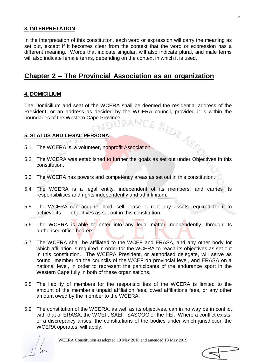#### **3. INTERPRETATION**

In the interpretation of this constitution, each word or expression will carry the meaning as set out, except if it becomes clear from the context that the word or expression has a different meaning. Words that indicate singular, will also indicate plural, and male terms will also indicate female terms, depending on the context in which it is used.

# **Chapter 2 – The Provincial Association as an organization**

#### **4. DOMICILIUM**

The Domicilium and seat of the WCERA shall be deemed the residential address of the President, or an address as decided by the WCERA council, provided it is within the boundaries of the Western Cape Province. boundaries of the Western Cape Province.

#### **5. STATUS AND LEGAL PERSONA**

- 5.1 The WCERA is a volunteer, nonprofit Association
- 5.2 The WCERA was established to further the goals as set out under Objectives in this constitution.
- 5.3 The WCERA has powers and competency areas as set out in this constitution.
- 5.4 The WCERA is a legal entity, independent of its members, and carries its responsibilities and rights independently and ad infinitum.
- 5.5 The WCERA can acquire, hold, sell, lease or rent any assets required for it to achieve its objectives as set out in this constitution.
- 5.6 The WCERA is able to enter into any legal matter independently, through its authorised office bearers.
- 5.7 The WCERA shall be affiliated to the WCEF and ERASA, and any other body for which affiliation is required in order for the WCERA to reach its objectives as set out in this constitution. The WCERA President, or authorised delegate, will serve as council member on the councils of the WCEF on provincial level, and ERASA on a national level, in order to represent the participants of the endurance sport in the Western Cape fully in both of these organisations.
- 5.8 The liability of members for the responsibilities of the WCERA is limited to the amount of the member's unpaid affiliation fees, owed affiliations fees, or any other amount owed by the member to the WCERA.
- 5.9 The constitution of the WCERA, as well as its objectives, can in no way be in conflict with that of ERASA, the WCEF, SAEF, SASCOC or the FEI. Where a conflict exists, or a discrepancy arises, the constitutions of the bodies under which jurisdiction the WCERA operates, will apply.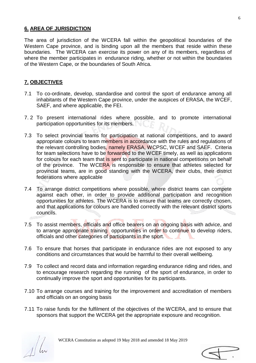#### **6. AREA OF JURISDICTION**

The area of jurisdiction of the WCERA fall within the geopolitical boundaries of the Western Cape province, and is binding upon all the members that reside within these boundaries. The WCERA can exercise its power on any of its members, regardless of where the member participates in endurance riding, whether or not within the boundaries of the Western Cape, or the boundaries of South Africa.

#### **7. OBJECTIVES**

- 7.1 To co-ordinate, develop, standardise and control the sport of endurance among all inhabitants of the Western Cape province, under the auspices of ERASA, the WCEF, SAEF, and where applicable, the FEI.
- 7. 2 To present international rides where possible, and to promote international participation opportunities for its members.
- 7.3 To select provincial teams for participation at national competitions, and to award appropriate colours to team members in accordance with the rules and regulations of the relevant controlling bodies, namely ERASA, WCPSC, WCEF and SAEF. Criteria for team selections have to be forwarded to the WCEF timely, as well as applications for colours for each team that is sent to participate in national competitions on behalf of the province. The WCERA is responsible to ensure that athletes selected for provincial teams, are in good standing with the WCERA, their clubs, their district federations where applicable
- 7.4 To arrange district competitions where possible, where district teams can compete against each other, in order to provide additional participation and recognition opportunities for athletes. The WCERA is to ensure that teams are correctly chosen, and that applications for colours are handled correctly with the relevant district sports councils.
- 7.5 To assist members, officials and office bearers on an ongoing basis with advice, and to arrange appropriate training opportunities in order to continue to develop riders, officials and other categories of participants in the sport.
- 7.6 To ensure that horses that participate in endurance rides are not exposed to any conditions and circumstances that would be harmful to their overall wellbeing.
- 7.9 To collect and record data and information regarding endurance riding and rides, and to encourage research regarding the running of the sport of endurance, in order to continually improve the sport and opportunities for its participants.
- 7.10 To arrange courses and training for the improvement and accreditation of members and officials on an ongoing basis
- 7.11 To raise funds for the fulfilment of the objectives of the WCERA, and to ensure that sponsors that support the WCERA get the appropriate exposure and recognition.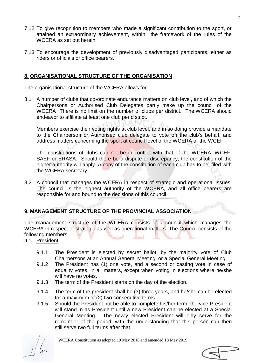- 7.12 To give recognition to members who made a significant contribution to the sport, or attained an extraordinary achievement, within the framework of the rules of the WCERA as set out herein.
- 7.13 To encourage the development of previously disadvantaged participants, either as riders or officials or office bearers.

#### **8. ORGANISATIONAL STRUCTURE OF THE ORGANISATION**

The organisational structure of the WCERA allows for:

8.1 A number of clubs that co-ordinate endurance matters on club level, and of which the Chairpersons or Authorised Club Delegates partly make up the council of the WCERA There is no limit on the number of clubs per district. The WCERA should endeavor to affiliate at least one club per district.

Members exercise their voting rights at club level, and in so doing provide a mandate to the Chairperson or Authorised club delegate to vote on the club's behalf, and address matters concerning the sport at council level of the WCERA or the WCEF.

The constitutions of clubs can not be in conflict with that of the WCERA, WCEF, SAEF or ERASA. Should there be a dispute or discrepancy, the constitution of the higher authority will apply. A copy of the constitution of each club has to be filed with the WCERA secretary.

8.2 A council that manages the WCERA in respect of strategic and operational issues. The council is the highest authority of the WCERA, and all office bearers are responsible for and bound to the decisions of this council.

### **9. MANAGEMENT STRUCTURE OF THE PROVINCIAL ASSOCIATION**

The management structure of the WCERA consists of a council which manages the WCERA in respect of strategic as well as operational matters. The Council consists of the following members:

- 9.1 President
	- 9.1.1 The President is elected by secret ballot, by the majority vote of Club Chairpersons at an Annual General Meeting, or a Special General Meeting.
	- 9.1.2 The President has (1) one vote, and a second or casting vote in case of equality votes, in all matters, except when voting in elections where he/she will have no votes.
	- 9.1.3 The term of the President starts on the day of the election.
	- 9.1.4 The term of the president shall be (3) three years, and he/she can be elected for a maximum of (2) two consecutive terms.
	- 9.1.5 Should the President not be able to complete his/her term, the vice-President will stand in as President until a new President can be elected at a Special General Meeting. The newly elected President will only serve for the remainder of the period, with the understanding that this person can then still serve two full terms after that.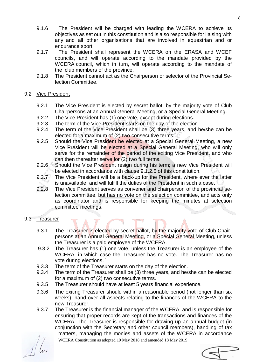- 9.1.6 The President will be charged with leading the WCERA to achieve its objectives as set out in this constitution and is also responsible for liaising with any and all other organisations that are involved in equestrian and or endurance sport.
- 9.1.7 The President shall represent the WCERA on the ERASA and WCEF councils, and will operate according to the mandate provided by the WCERA council, which in turn, will operate according to the mandate of the club members of the province.
- 9.1.8 The President cannot act as the Chairperson or selector of the Provincial Selection Committee.

#### 9.2 Vice President

- 9.2.1 The Vice President is elected by secret ballot, by the majority vote of Club Chairpersons at an Annual General Meeting, or a Special General Meeting.
- 9.2.2 The Vice President has (1) one vote, except during elections.
- 9.2.3 The term of the Vice President starts on the day of the election.
- 9.2.4 The term of the Vice President shall be (3) three years, and he/she can be elected for a maximum of (2) two consecutive terms.
- 9.2.5 Should the Vice President be elected at a Special General Meeting, a new Vice President will be elected at a Special General Meeting, who will only serve for the remainder of the period of the exiting Vice President, and who can then thereafter serve for (2) two full terms.
- 9.2.6 Should the Vice President resign during his term; a new Vice President will be elected in accordance with clause 9.1.2.5 of this constitution.
- 9.2.7 The Vice President will be a back-up for the President, where ever the latter is unavailable, and will fulfill the duties of the President in such a case.
- 9.2.8 The Vice President serves as convener and chairperson of the provincial selection committee, but has no vote on the selection committee, and acts only as coordinator and is responsible for keeping the minutes at selection committee meetings.

#### 9.3 Treasurer

- 9.3.1 The Treasurer is elected by secret ballot, by the majority vote of Club Chairpersons at an Annual General Meeting, or a Special General Meeting, unless the Treasurer is a paid employee of the WCERA.
- 9.3.2 The Treasurer has (1) one vote, unless the Treasurer is an employee of the WCERA, in which case the Treasurer has no vote. The Treasurer has no vote during elections. `
- 9.3.3 The term of the Treasurer starts on the day of the election.
- 9.3.4 The term of the Treasurer shall be (3) three years, and he/she can be elected for a maximum of (2) two consecutive terms.
- 9.3.5 The Treasurer should have at least 5 years financial experience.
- 9.3.6 The exiting Treasurer should within a reasonable period (not longer than six weeks), hand over all aspects relating to the finances of the WCERA to the new Treasurer.
- 9.3.7 The Treasurer is the financial manager of the WCERA, and is responsible for ensuring that proper records are kept of the transactions and finances of the WCERA. The Treasurer is responsible for drawing up an annual budget (in conjunction with the Secretary and other council members), handling of tax matters, managing the monies and assets of the WCERA in accordance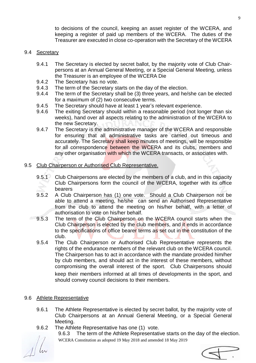to decisions of the council, keeping an asset register of the WCERA, and keeping a register of paid up members of the WCERA. The duties of the Treasurer are executed in close co-operation with the Secretary of the WCERA

#### 9.4 Secretary

- 9.4.1 The Secretary is elected by secret ballot, by the majority vote of Club Chairpersons at an Annual General Meeting, or a Special General Meeting, unless the Treasurer is an employee of the WCERA Die
- 9.4.2 The Secretary has no vote.
- 9.4.3 The term of the Secretary starts on the day of the election.
- 9.4.4 The term of the Secretary shall be (3) three years, and he/she can be elected for a maximum of (2) two consecutive terms.
- 9.4.5 The Secretary should have at least 1 year's relevant experience.
- 9.4.6 The exiting Secretary should within a reasonable period (not longer than six weeks), hand over all aspects relating to the administration of the WCERA to the new Secretary.
- 9.4.7 The Secretary is the administrative manager of the WCERA and responsible for ensuring that all administrative tasks are carried out timeous and accurately. The Secretary shall keep minutes of meetings, will be responsible for all correspondence between the WCERA and its clubs, members and any other organisation with which the WCERA transacts, or associates with.
- 9.5 Club Chairperson or Authorised Club Representative.
	- 9.5.1 Club Chairpersons are elected by the members of a club, and in this capacity Club Chairpersons form the council of the WCERA, together with its office bearers
	- 9.5.2 A Club Chairperson has (1) one vote. Should a Club Chairperson not be able to attend a meeting, he/she can send an Authorised Representative from the club to attend the meeting on his/her behalf, with a letter of authorisation to vote on his/her behalf.
	- 9.5.3 The term of the Club Chairperson on the WCERA council starts when the Club Chairperson is elected by the club members, and it ends in accordance to the specifications of office bearer terms as set out in the constitution of the club.
	- 9.5.4 The Club Chairperson or Authorised Club Representative represents the rights of the endurance members of the relevant club on the WCERA council. The Chairperson has to act in accordance with the mandate provided him/her by club members, and should act in the interest of these members, without compromising the overall interest of the sport. Club Chairpersons should keep their members informed at all times of developments in the sport, and should convey council decisions to their members.

#### 9.6 Athlete Representative

- 9.6.1 The Athlete Representative is elected by secret ballot, by the majority vote of Club Chairpersons at an Annual General Meeting, or a Special General Meeting.
- 9.6.2 The Athlete Representative has one (1) vote.

WCERA Constitution as adopted 19 May 2018 and amended 18 May 2019 9.6.3 The term of the Athlete Representative starts on the day of the election.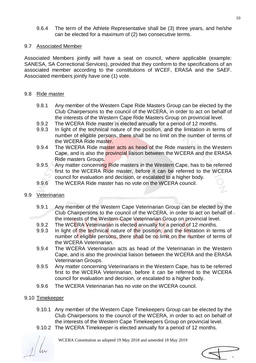9.6.4 The term of the Athlete Representative shall be (3) three years, and he/she can be elected for a maximum of (2) two consecutive terms.

## 9.7 Associated Member

Associated Members jointly will have a seat on council, where applicable (example: SANESA, SA Correctional Services), provided that they conform to the specifications of an associated member according to the constitutions of WCEF, ERASA and the SAEF. Associated members jointly have one (1) vote.

## 9.8 Ride master

- 9.8.1 Any member of the Western Cape Ride Masters Group can be elected by the Club Chairpersons to the council of the WCERA, in order to act on behalf of the interests of the Western Cape Ride Masters Group on provincial level.
- 9.9.2 The WCERA Ride master is elected annually for a period of 12 months.
- 9.9.3 In light of the technical nature of the position, and the limitation in terms of number of eligible persons, there shall be no limit on the number of terms of the WCERA Ride master.
- 9.9.4 The WCERA Ride master acts as head of the Ride masters in the Western Cape, and is also the provincial liaison between the WCERA and the ERASA Ride masters Groups.
- 9.9.5 Any matter concerning Ride masters in the Western Cape, has to be referred first to the WCERA Ride master, before it can be referred to the WCERA council for evaluation and decision, or escalated to a higher body.
- 9.9.6 The WCERA Ride master has no vote on the WCERA council.
- 9.9 Veterinarian
	- 9.9.1 Any member of the Western Cape Veterinarian Group can be elected by the Club Chairpersons to the council of the WCERA, in order to act on behalf of the interests of the Western Cape Veterinarian Group on provincial level.
	- 9.9.2 The WCERA Veterinarian is elected annually for a period of 12 months.
	- 9.9.3 In light of the technical nature of the position, and the limitation in terms of number of eligible persons, there shall be no limit on the number of terms of the WCERA Veterinarian.
	- 9.9.4 The WCERA Veterinarian acts as head of the Veterinarian in the Western Cape, and is also the provincial liaison between the WCERA and the ERASA Veterinarian Groups.
	- 9.9.5 Any matter concerning Veterinarians in the Western Cape, has to be referred first to the WCERA Veterinarian, before it can be referred to the WCERA council for evaluation and decision, or escalated to a higher body.
	- 9.9.6 The WCERA Veterinarian has no vote on the WCERA council.

# 9.10 Timekeeper

- 9.10.1 Any member of the Western Cape Timekeepers Group can be elected by the Club Chairpersons to the council of the WCERA, in order to act on behalf of the interests of the Western Cape Timekeepers Group on provincial level.
- 9.10.2 The WCERA Timekeeper is elected annually for a period of 12 months.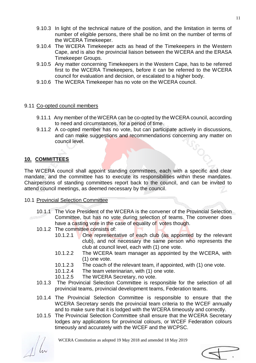- 9.10.3 In light of the technical nature of the position, and the limitation in terms of number of eligible persons, there shall be no limit on the number of terms of the WCERA Timekeeper.
- 9.10.4 The WCERA Timekeeper acts as head of the Timekeepers in the Western Cape, and is also the provincial liaison between the WCERA and the ERASA Timekeeper Groups.
- 9.10.5 Any matter concerning Timekeepers in the Western Cape, has to be referred first to the WCERA Timekeepers, before it can be referred to the WCERA council for evaluation and decision, or escalated to a higher body.
- 9.10.6 The WCERA Timekeeper has no vote on the WCERA council.

#### 9.11 Co-opted council members

- 9.11.1 Any member of the WCERA can be co-opted by the WCERA council, according to need and circumstances, for a period of time.
- 9.11.2 A co-opted member has no vote, but can participate actively in discussions, and can make suggestions and recommendations concerning any matter on council level.

#### **10. COMMITTEES**

The WCERA council shall appoint standing committees, each with a specific and clear mandate, and the committee has to execute its responsibilities within these mandates. Chairpersons of standing committees report back to the council, and can be invited to attend council meetings, as deemed necessary by the council.

#### 10.1 Provincial Selection Committee

- 10.1.1 The Vice President of the WCERA is the convener of the Provincial Selection Committee, but has no vote during selection of teams. The convener does have a casting vote in the case of equality of votes though.
- 10.1.2 The committee consists of:
	- 10.1.2.1 One representative of each club (as appointed by the relevant club), and not necessary the same person who represents the club at council level, each with (1) one vote.
	- 10.1.2.2 The WCERA team manager as appointed by the WCERA, with (1) one vote.
	- 10.1.2.3 The coach of the relevant team, if appointed, with (1) one vote.
	- 10.1.2.4 The team veterinarian, with (1) one vote.
	- 10.1.2.5 The WCERA Secretary, no vote.
- 10.1.3 The Provincial Selection Committee is responsible for the selection of all provincial teams, provincial development teams, Federation teams.
- 10.1.4 The Provincial Selection Committee is responsible to ensure that the WCERA Secretary sends the provincial team criteria to the WCEF annually and to make sure that it is lodged with the WCERA timeously and correctly.
- 10.1.5 The Provincial Selection Committee shall ensure that the WCERA Secretary lodges any applications for provincial colours, or WCEF Federation colours timeously and accurately with the WCEF and the WCPSC.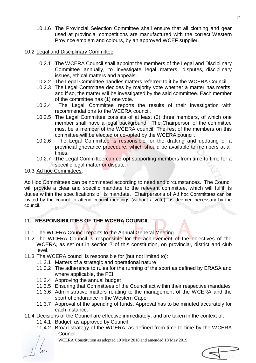10.1.6 The Provincial Selection Committee shall ensure that all clothing and gear used at provincial competitions are manufactured with the correct Western Province emblem and colours, by an approved WCEF supplier.

#### 10.2 Legal and Disciplinary Committee

- 10.2.1 The WCERA Council shall appoint the members of the Legal and Disciplinary Committee annually, to investigate legal matters, disputes, disciplinary issues, ethical matters and appeals.
- 10.2.2 The Legal Committee handles matters referred to it by the WCERA Council.
- 10.2.3 The Legal Committee decides by majority vote whether a matter has merits, and if so, the matter will be investigated by the said committee. Each member of the committee has (1) one vote.
- 10.2.4 The Legal Committee reports the results of their investigation with recommendations to the WCERA council.
- 10.2.5 The Legal Committee consists of at least (3) three members, of which one member shall have a legal background. The Chairperson of the committee must be a member of the WCERA council. The rest of the members on this committee will be elected or co-opted by the WCERA council.
- 10.2.6 The Legal Committee is responsible for the drafting and updating of a provincial grievance procedure, which should be available to members at all times.
- 10.2.7 The Legal Committee can co-opt supporting members from time to time for a specific legal matter or dispute.
- 10.3 Ad hoc Committees.

Ad Hoc Committees can be nominated according to need and circumstances. The Council will provide a clear and specific mandate to the relevant committee, which will fulfil its duties within the specifications of its mandate. Chairpersons of Ad hoc Committees can be invited by the council to attend council meetings (without a vote), as deemed necessary by the council.

### **11. RESPONSIBILITIES OF THE WCERA COUNCIL**

- 11.1 The WCERA Council reports to the Annual General Meeting
- 11.2 The WCERA Council is responsible for the achievement of the objectives of the WCERA, as set out in section 7 of this constitution, on provincial, district and club level.
- 11.3 The WCERA council is responsible for (but not limited to):
	- 11.3.1 Matters of a strategic and operational nature
	- 11.3.2 The adherence to rules for the running of the sport as defined by ERASA and where applicable, the FEI.
	- 11.3.4 Approving the annual budget
	- 11.3.5 Ensuring that Committees of the Council act within their respective mandates
	- 11.3.6 Administrative matters relating to the management of the WCERA and the sport of endurance in the Western Cape
	- 11.3.7 Approval of the spending of funds. Approval has to be minuted accurately for each instance.
- 11.4 Decisions of the Council are effective immediately, and are taken in the context of:
	- 11.4.1 Budget, as approved by Council
	- 11.4.2 Broad strategy of the WCERA, as defined from time to time by the WCERA Council.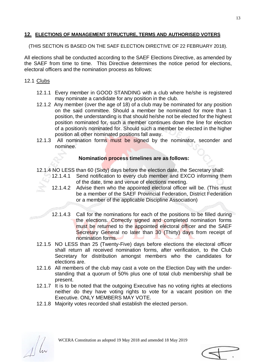#### **12. ELECTIONS OF MANAGEMENT STRUCTURE, TERMS AND AUTHORISED VOTERS**

(THIS SECTION IS BASED ON THE SAEF ELECTION DIRECTIVE OF 22 FEBRUARY 2018).

All elections shall be conducted according to the SAEF Elections Directive, as amended by the SAEF from time to time. This Directive determines the notice period for elections, electoral officers and the nomination process as follows:

#### 12.1 Clubs

- 12.1.1 Every member in GOOD STANDING with a club where he/she is registered may nominate a candidate for any position in the club.
- 12.1.2 Any member (over the age of 18) of a club may be nominated for any position on the said committee. Should a member be nominated for more than 1 position, the understanding is that should he/she not be elected for the highest position nominated for, such a member continues down the line for election of a position/s nominated for. Should such a member be elected in the higher position all other nominated positions fall away.
- 12.1.3 All nomination forms must be signed by the nominator, seconder and nominee.

#### **Nomination process timelines are as follows:**

- 12.1.4 NO LESS than 60 (Sixty) days before the election date, the Secretary shall:
	- 12.1.4.1 Send notification to every club member and EXCO informing them of the date, time and venue of elections meeting.
	- 12.1.4.2 Advise them who the appointed electoral officer will be. (This must be a member of the SAEF Provincial Federation, District Federation or a member of the applicable Discipline Association)
	- 12.1.4.3 Call for the nominations for each of the positions to be filled during the elections. Correctly signed and completed nomination forms must be returned to the appointed electoral officer and the SAEF Secretary General no later than 30 (Thirty) days from receipt of nomination forms.
- 12.1.5 NO LESS than 25 (Twenty-Five) days before elections the electoral officer shall return all received nomination forms, after verification, to the Club Secretary for distribution amongst members who the candidates for elections are.
- 12.1.6 All members of the club may cast a vote on the Election Day with the understanding that a quorum of 50% plus one of total club membership shall be present.
- 12.1.7 It is to be noted that the outgoing Executive has no voting rights at elections neither do they have voting rights to vote for a vacant position on the Executive. ONLY MEMBERS MAY VOTE.
- 12.1.8 Majority votes recorded shall establish the elected person.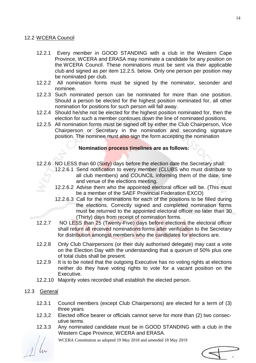#### 12.2 WCERA Council

- 12.2.1 Every member in GOOD STANDING with a club in the Western Cape Province, WCERA and ERASA may nominate a candidate for any position on the WCERA Council. These nominations must be sent via their applicable club and signed as per item 12.2.5. below. Only one person per position may be nominated per club.
- 12.2.2 All nomination forms must be signed by the nominator, seconder and nominee.
- 12.2.3 Such nominated person can be nominated for more than one position. Should a person be elected for the highest position nominated for, all other nomination for positions for such person will fall away.
- 12.2.4 Should he/she not be elected for the highest position nominated for, then the election for such a member continues down the line of nominated positions.
- 12.2.5 All nomination forms must be signed off by either the Club Chairperson, Vice Chairperson or Secretary in the nomination and seconding signature position. The nominee must also sign the form accepting the nomination

#### **Nomination process timelines are as follows:**

- 12.2.6 NO LESS than 60 (Sixty) days before the election date the Secretary shall:
	- 12.2.6.1 Send notification to every member (CLUBS who must distribute to all club members) and COUNCIL informing them of the date, time and venue of the elections meeting.
	- 12.2.6.2 Advise them who the appointed electoral officer will be. (This must be a member of the SAEF Provincial Federation EXCO)
	- 12.2.6.3 Call for the nominations for each of the positions to be filled during the elections. Correctly signed and completed nomination forms must be returned to the appointed electoral officer no later than 30 (Thirty) days from receipt of nomination forms.
- 12.2.7 NO LESS than 25 (Twenty-Five) days before elections the electoral officer shall return all received nominations forms after verification to the Secretary for distribution amongst members who the candidates for elections are.
- 12.2.8 Only Club Chairpersons (or their duly authorised delegate) may cast a vote on the Election Day with the understanding that a quorum of 50% plus one of total clubs shall be present.
- 12.2.9 It is to be noted that the outgoing Executive has no voting rights at elections neither do they have voting rights to vote for a vacant position on the Executive.
- 12.2.10 Majority votes recorded shall establish the elected person.

#### 12.3 General

- 12.3.1 Council members (except Club Chairpersons) are elected for a term of (3) three years
- 12.3,2 Elected office bearer or officials cannot serve for more than (2) two consecutive terms.
- 12.3.3 Any nominated candidate must be in GOOD STANDING with a club in the Western Cape Province, WCERA and ERASA.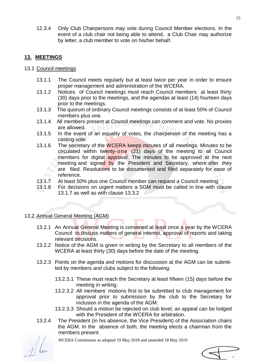12.3.4 Only Club Chairpersons may vote during Council Member elections. In the event of a club chair not being able to attend, a Club Chair may authorize by letter, a club member to vote on his/her behalf.

#### **13. MEETINGS**

- 13.1 Council meetings
	- 13.1.1 The Council meets regularly but at least twice per year in order to ensure proper management and administration of the WCERA.
	- 13.1.2 Notices of Council meetings must reach Council members at least thirty (30) days prior to the meetings, and the agendas at least (14) fourteen days prior to the meetings.
	- 13.1.3 The quorum of ordinary Council meetings consists of at least 50% of Council members plus one.
	- 13.1.4 All members present at Council meetings can comment and vote. No proxies are allowed.
	- 13.1.5 In the event of an equality of votes, the chairperson of the meeting has a casting vote.
	- 13.1.6 The secretary of the WCERA keeps minutes of all meetings. Minutes to be circulated within twenty-one (21) days of the meeting to all Council members for digital approval. The minutes to be approved at the next meeting and signed by the President and Secretary, where after they are filed. Resolutions to be documented and filed separately for ease of reference.
	- 13.1.7 At least 50% plus one Council member can request a Council meeting.
	- 13.1.8 For decisions on urgent matters a SGM must be called in line with clause 13.1.7 as well as with clause 13.3.2

#### 13.2 Annual General Meeting (AGM)

- 13.2.1 An Annual General Meeting is convened at least once a year by the WCERA Council to discuss matters of general interest, approval of reports and taking relevant decisions.
- 13.2.2 Notice of the AGM is given in writing by the Secretary to all members of the WCERA at least thirty (30) days before the date of the meeting.
- 13.2.3 Points on the agenda and motions for discussion at the AGM can be submitted by members and clubs subject to the following:
	- 13.2.3.1 These must reach the Secretary at least fifteen (15) days before the meeting in writing.
	- 13.2.3.2 All members' motions first to be submitted to club management for approval prior to submission by the club to the Secretary for inclusion in the agenda of the AGM.
	- 13.2.3.3 Should a motion be rejected on club level; an appeal can be lodged with the President of the WCERA for arbitration.
- 13.2.4 The President (in his absence, the Vice President) of the Association chairs the AGM. In the absence of both, the meeting elects a chairman from the members present.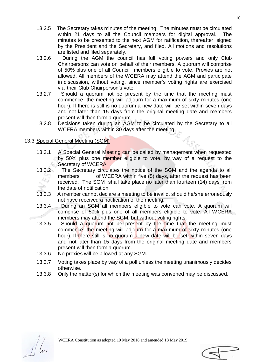- 13.2.5 The Secretary takes minutes of the meeting. The minutes must be circulated within 21 days to all the Council members for digital approval. The minutes to be presented to the next AGM for ratification, thereafter, signed by the President and the Secretary, and filed. All motions and resolutions are listed and filed separately.
- 13.2.6 During the AGM the council has full voting powers and only Club Chairpersons can vote on behalf of their members. A quorum will comprise of 50% plus one of all Council members eligible to vote. Proxies are not allowed. All members of the WCERA may attend the AGM and participate in discussion, without voting, since member's voting rights are exercised via their Club Chairperson's vote.
- 13.2.7 Should a quorum not be present by the time that the meeting must commence, the meeting will adjourn for a maximum of sixty minutes (one hour). If there is still is no quorum a new date will be set within seven days and not later than 15 days from the original meeting date and members present will then form a quorum.
- 13.2.8 Decisions taken during an AGM to be circulated by the Secretary to all WCERA members within 30 days after the meeting.

#### 13.3 Special General Meeting (SGM)

- 13.3.1 A Special General Meeting can be called by management when requested by 50% plus one member eligible to vote, by way of a request to the Secretary of WCERA.
- 13.3.2 The Secretary circulates the notice of the SGM and the agenda to all members of WCERA within five (5) days, after the request has been received. The SGM shall take place no later than fourteen (14) days from the date of notification
- 13.3.3 A member cannot declare a meeting to be invalid, should he/she erroneously not have received a notification of the meeting.
- 13.3.4 During an SGM all members eligible to vote can vote. A quorum will comprise of 50% plus one of all members eligible to vote. All WCERA members may attend the SGM, but without voting rights.
- 13.3.5 Should a quorum not be present by the time that the meeting must commence, the meeting will adjourn for a maximum of sixty minutes (one hour). If there still is no quorum a new date will be set within seven days and not later than 15 days from the original meeting date and members present will then form a quorum.
- 13.3.6 No proxies will be allowed at any SGM.
- 13.3.7 Voting takes place by way of a poll unless the meeting unanimously decides otherwise.
- 13.3.8 Only the matter(s) for which the meeting was convened may be discussed.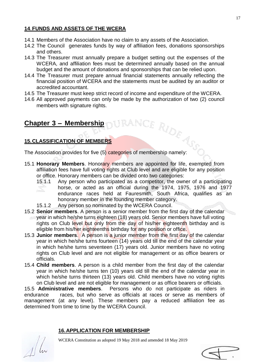#### **14**.**FUNDS AND ASSETS OF THE WCERA**

- 14.1 Members of the Association have no claim to any assets of the Association.
- 14.2 The Council generates funds by way of affiliation fees, donations sponsorships and others.
- 14.3 The Treasurer must annually prepare a budget setting out the expenses of the WCERA, and affiliation fees must be determined annually based on the annual budget and the amount of donations and sponsorships that can be relied upon.
- 14.4 The Treasurer must prepare annual financial statements annually reflecting the financial position of WCERA and the statements must be audited by an auditor or accredited accountant.
- 14.5 The Treasurer must keep strict record of income and expenditure of the WCERA.
- 14.6 All approved payments can only be made by the authorization of two (2) council members with signature rights.

# **Chapter 3 – Membership**

#### **15.CLASSIFICATION OF MEMBERS**

Chapter 3 – Membership<br>15.CLASSIFICATION OF MEMBERS<br>The Association provides for five (5) categories of membership namely:

- 15.1 **Honorary Members**. Honorary members are appointed for life, exempted from affiliation fees have full voting rights at Club level and are eligible for any position or office. Honorary members can be divided onto two categories:
	- 15.1.1 Any person who participated as a competitor, the owner of a participating horse, or acted as an official during the 1974, 1975, 1976 and 1977 endurance races held at Fauresmith, South Africa, qualifies as an honorary member in the founding member category.
	- 15.1.2 Any person so nominated by the WCERA Council.
- 15.2 **Senior members**. A person is a senior member from the first day of the calendar year in which he/she turns eighteen (18) years old. Senior members have full voting rights on Club level but only from the day of his/her eighteenth birthday and is eligible from his/her eighteenths birthday for any position or office.
- 15.3 **Junior members**. A person is a junior member from the first day of the calendar year in which he/she turns fourteen (14) years old till the end of the calendar year in which he/she turns seventeen (17) years old. Junior members have no voting rights on Club level and are not eligible for management or as office bearers or officials.
- 15.4 **Child members**. A person is a child member from the first day of the calendar year in which he/she turns ten (10) years old till the end of the calendar year in which he/she turns thirteen (13) years old. Child members have no voting rights on Club level and are not eligible for management or as office bearers or officials.

15.5 **Administrative members**. Persons who do not participate as riders in endurance races, but who serve as officials at races or serve as members of management (at any level). These members pay a reduced affiliation fee as determined from time to time by the WCERA Council.

#### **16.APPLICATION FOR MEMBERSHIP**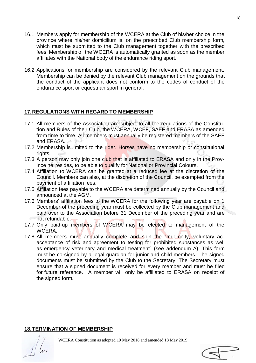- 16.1 Members apply for membership of the WCERA at the Club of his/her choice in the province where his/her domicilium is, on the prescribed Club membership form, which must be submitted to the Club management together with the prescribed fees. Membership of the WCERA is automatically granted as soon as the member affiliates with the National body of the endurance riding sport.
- 16.2 Applications for membership are considered by the relevant Club management. Membership can be denied by the relevant Club management on the grounds that the conduct of the applicant does not conform to the codes of conduct of the endurance sport or equestrian sport in general.

#### **17.REGULATIONS WITH REGARD TO MEMBERSHIP**

- 17.1 All members of the Association are subject to all the regulations of the Constitution and Rules of their Club, the WCERA, WCEF, SAEF and ERASA as amended from time to time. All members must annually be registered members of the SAEF and ERASA.
- 17.2 Membership is limited to the rider. Horses have no membership or constitutional rights.
- 17.3 A person may only join one club that is affiliated to ERASA and only in the Province he resides, to be able to qualify for National or Provincial Colours.
- 17.4 Affiliation to WCERA can be granted at a reduced fee at the discretion of the Council. Members can also, at the discretion of the Council, be exempted from the payment of affiliation fees.
- 17.5 Affiliation fees payable to the WCERA are determined annually by the Council and announced at the AGM.
- 17.6 Members' affiliation fees to the WCERA for the following year are payable on 1 December of the preceding year must be collected by the Club management and paid over to the Association before 31 December of the preceding year and are not refundable.
- 17.7 Only paid-up members of WCERA may be elected to management of the WCERA.
- 17.8 All members must annually complete and sign the "Indemnity, voluntary acacceptance of risk and agreement to testing for prohibited substances as well as emergency veterinary and medical treatment" (see addendum A). This form must be co-signed by a legal guardian for junior and child members. The signed documents must be submitted by the Club to the Secretary. The Secretary must ensure that a signed document is received for every member and must be filed for future reference. A member will only be affiliated to ERASA on receipt of the signed form.

#### **18.TERMINATION OF MEMBERSHIP**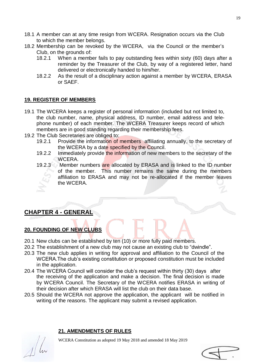- 18.1 A member can at any time resign from WCERA. Resignation occurs via the Club to which the member belongs.
- 18.2 Membership can be revoked by the WCERA, via the Council or the member's Club, on the grounds of:
	- 18.2.1 When a member fails to pay outstanding fees within sixty (60) days after a reminder by the Treasurer of the Club, by way of a registered letter, hand delivered or electronically handed to him/her.
	- 18.2.2 As the result of a disciplinary action against a member by WCERA, ERASA or SAEF.

#### **19. REGISTER OF MEMBERS**

- 19.1 The WCERA keeps a register of personal information (included but not limited to, the club number, name, physical address, ID number, email address and telephone number) of each member. The WCERA Treasurer keeps record of which members are in good standing regarding their membership fees.
- 19.2 The Club Secretaries are obliged to:
	- 19.2.1 Provide the information of members affiliating annually, to the secretary of the WCERA by a date specified by the Council.
	- 19.2.2 Immediately provide the information of new members to the secretary of the WCERA.
	- 19.2.3 Member numbers are allocated by ERASA and is linked to the ID number of the member. This number remains the same during the members affiliation to ERASA and may not be re-allocated if the member leaves the WCERA.

# **CHAPTER 4 - GENERAL**

#### **20. FOUNDING OF NEW CLUBS**

- 20.1 New clubs can be established by ten (10) or more fully paid members.
- 20.2 The establishment of a new club may not cause an existing club to "dwindle".
- 20.3 The new club applies in writing for approval and affiliation to the Council of the WCERA.The club's existing constitution or proposed constitution must be included in the application.
- 20.4 The WCERA Council will consider the club's request within thirty (30) days after the receiving of the application and make a decision. The final decision is made by WCERA Council. The Secretary of the WCERA notifies ERASA in writing of their decision after which ERASA will list the club on their data base.
- 20.5 Should the WCERA not approve the application, the applicant will be notified in writing of the reasons. The applicant may submit a revised application.

#### **21. AMENDMENTS OF RULES**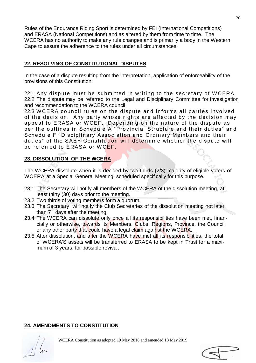Rules of the Endurance Riding Sport is determined by FEI (International Competitions) and ERASA (National Competitions) and as altered by them from time to time. The WCERA has no authority to make any rule changes and is primarily a body in the Western Cape to assure the adherence to the rules under all circumstances.

#### **22. RESOLVING OF CONSTITUTIONAL DISPUTES**

In the case of a dispute resulting from the interpretation, application of enforceability of the provisions of this Constitution:

22.1 Any dispute must be submitted in writing to the secretary of WCERA 22.2 The dispute may be referred to the Legal and Disciplinary Committee for investigation and recommendation to the WCERA council.

22.3 WCERA council rules on the dispute and informs all parties involved of the decision. Any party whose rights are affected by the decision may appeal to ERASA or WCEF. Depending on the nature of the dispute as per the outlines in Schedule A "Provincial Structure and their duties" and Schedule F "Disciplinary Association and Ordinary Members and their duties" of the SAEF Constitution will determine whether the dispute will be referred to ERASA or WCEF.

#### **23. DISSOLUTION OF THE WCERA**

The WCERA dissolute when it is decided by two thirds (2/3) majority of eligible voters of WCERA at a Special General Meeting, scheduled specifically for this purpose.

- 23.1 The Secretary will notify all members of the WCERA of the dissolution meeting, at least thirty (30) days prior to the meeting.
- 23.2 Two thirds of voting members form a quorum.
- 23.3 The Secretary will notify the Club Secretaries of the dissolution meeting not later than 7 days after the meeting.
- 23.4 The WCERA can dissolute only once all its responsibilities have been met, financially or otherwise, towards its Members, Clubs, Regions, Province, the Council or any other party that could have a legal claim against the WCERA.
- 23.5 After dissolution, and after the WCERA have met all its responsibilities, the total of WCERA'S assets will be transferred to ERASA to be kept in Trust for a maximum of 3 years, for possible revival.

#### **24. AMENDMENTS TO CONSTITUTION**